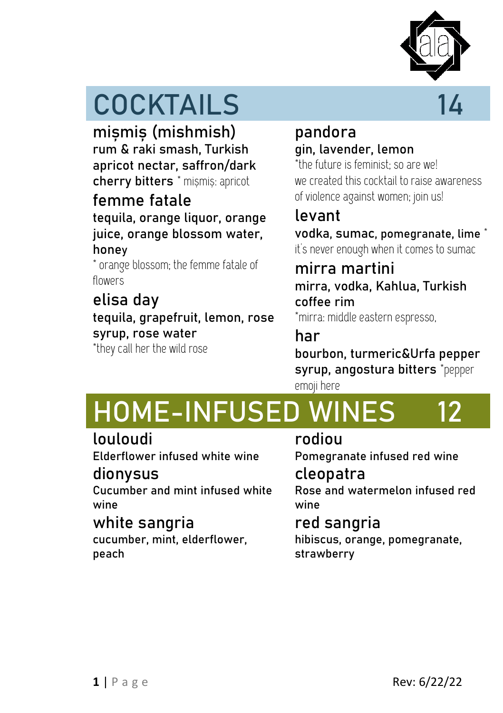

# **COCKTAILS 14**

**mișmiș (mishmish)**  rum & raki smash, Turkish apricot nectar, saffron/dark cherry bitters \* mișmiș: apricot

## **femme fatale**

#### tequila, orange liquor, orange juice, orange blossom water, honey

\* orange blossom; the femme fatale of flowers

## **elisa day**

tequila, grapefruit, lemon, rose syrup, rose water

\*they call her the wild rose

### **pandora** gin, lavender, lemon

\*the future is feminist; so are we! we created this cocktail to raise awareness of violence against women; join us!

## **levant**

vodka, sumac, pomegranate, lime \* it's never enough when it comes to sumac

## **mirra martini**

mirra, vodka, Kahlua, Turkish coffee rim

\*mirra: middle eastern espresso,

## **har**

bourbon, turmeric&Urfa pepper syrup, angostura bitters \*pepper emoji here

# **HOME-INFUSED WINES 12**

### **louloudi**

Elderflower infused white wine

### **dionysus**

Cucumber and mint infused white wine

### **white sangria**

cucumber, mint, elderflower, peach

## **rodiou**

Pomegranate infused red wine

## **cleopatra**

Rose and watermelon infused red wine

## **red sangria**

hibiscus, orange, pomegranate, strawberry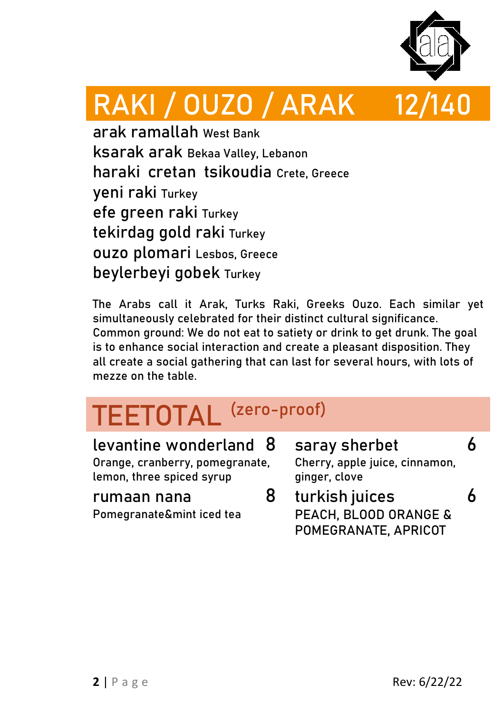

# **RAKI / OUZO / ARAK 12/140**

**arak ramallah** West Bank **ksarak arak** Bekaa Valley, Lebanon **haraki cretan tsikoudia** Crete, Greece **yeni raki** Turkey **efe green raki** Turkey **tekirdag gold raki** Turkey **ouzo plomari** Lesbos, Greece **beylerbeyi gobek** Turkey

The Arabs call it **Arak**, Turks **Raki**, Greeks **Ouzo**. Each similar yet simultaneously celebrated for their distinct cultural significance. Common ground: We do not eat to satiety or drink to get drunk. The goal is to enhance social interaction and create a pleasant disposition. They all create a social gathering that can last for several hours, with lots of mezze on the table.

# **TEETOTAL (zero-proof)**

| levantine wonderland 8          | saray sherbet                  |  |
|---------------------------------|--------------------------------|--|
| Orange, cranberry, pomegranate, | Cherry, apple juice, cinnamon, |  |
| lemon, three spiced syrup       | ginger, clove                  |  |
| rumaan nana                     | turkish juices                 |  |
| Pomegranate&mint iced tea       | PEACH, BLOOD ORANGE &          |  |

POMEGRANATE, APRICOT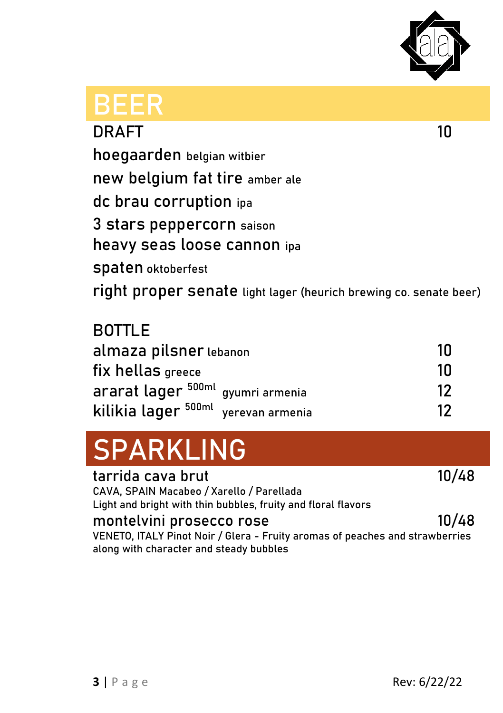

| 3EER                                                              |    |
|-------------------------------------------------------------------|----|
| <b>DRAFT</b>                                                      | 10 |
| hoegaarden belgian witbier                                        |    |
| new belgium fat tire amber ale                                    |    |
| dc brau corruption ipa                                            |    |
| 3 stars peppercorn saison                                         |    |
| heavy seas loose cannon ipa                                       |    |
| <b>Spaten</b> oktoberfest                                         |    |
| right proper senate light lager (heurich brewing co. senate beer) |    |
| DATI F                                                            |    |

| <b>BOTTLE</b>                                  |       |
|------------------------------------------------|-------|
| almaza pilsner lebanon                         | ้ 1 ก |
| fix hellas greece                              | 1Π    |
| ararat lager 500ml gyumri armenia              | 12    |
| kilikia lager <sup>500ml</sup> yerevan armenia | 12    |

# **SPARKLING**

**tarrida cava brut 10/48** CAVA, SPAIN Macabeo / Xarello / Parellada Light and bright with thin bubbles, fruity and floral flavors

**montelvini prosecco rose 10/48** VENETO, ITALY Pinot Noir / Glera - Fruity aromas of peaches and strawberries along with character and steady bubbles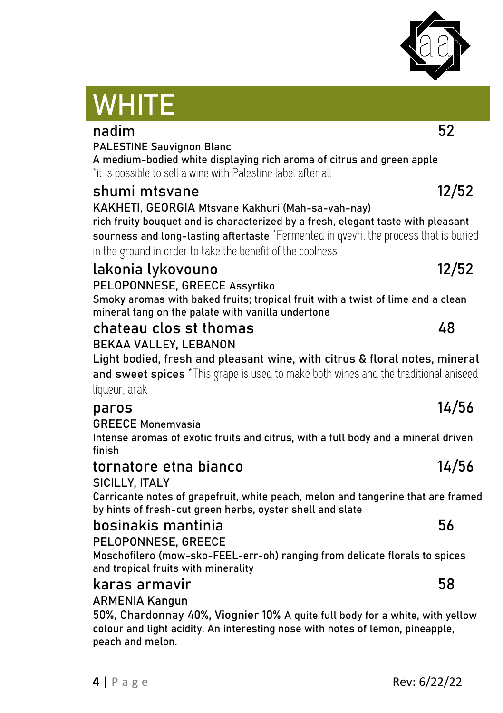#### PALESTINE Sauvignon Blanc A medium-bodied white displaying rich aroma of citrus and green apple \*it is possible to sell a wine with Palestine label after all **shumi mtsvane 12/52** KAKHETI, GEORGIA Mtsvane Kakhuri (Mah-sa-vah-nay) rich fruity bouquet and is characterized by a fresh, elegant taste with pleasant sourness and long-lasting aftertaste \*Fermented in qvevri, the process that is buried in the ground in order to take the benefit of the coolness **lakonia lykovouno 12/52** PELOPONNESE, GREECE Assyrtiko Smoky aromas with baked fruits; tropical fruit with a twist of lime and a clean mineral tang on the palate with vanilla undertone **chateau clos st thomas 48**

**nadim 52**

### BEKAA VALLEY, LEBANON

Light bodied, fresh and pleasant wine, with citrus & floral notes, mineral and sweet spices \*This grape is used to make both wines and the traditional aniseed liqueur, arak

### **paros 14/56**

GREECE Monemvasia

**WHITE**

Intense aromas of exotic fruits and citrus, with a full body and a mineral driven finish

#### **tornatore etna bianco 14/56** SICILLY, ITALY

Carricante notes of grapefruit, white peach, melon and tangerine that are framed by hints of fresh-cut green herbs, oyster shell and slate

### **bosinakis mantinia 56**

PELOPONNESE, GREECE

Moschofilero (mow-sko-FEEL-err-oh) ranging from delicate florals to spices and tropical fruits with minerality

#### **karas armavir 58**

#### **ARMENIA Kangun**

**50%, Chardonnay 40%, Viognier 10%** [A quite full body for a white, with yellow](https://www.vivino.com/users/georgi.botusharov/reviews/211248655)  [colour and light acidity. An interesting nose with notes of lemon, pineapple,](https://www.vivino.com/users/georgi.botusharov/reviews/211248655)  [peach and melon.](https://www.vivino.com/users/georgi.botusharov/reviews/211248655)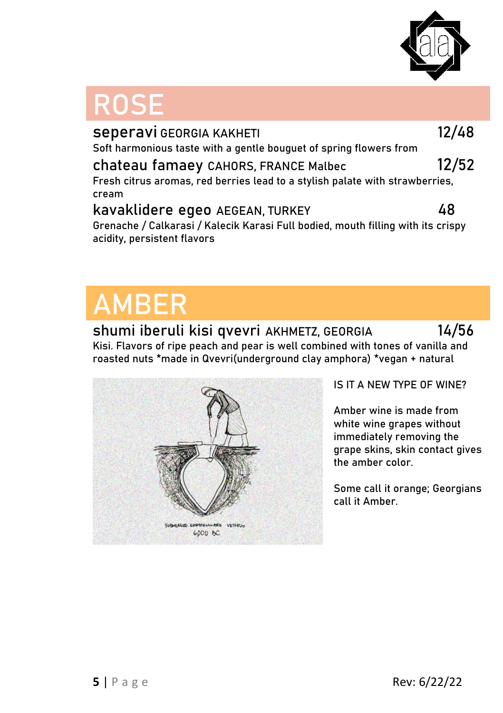

# **ROSE**

| Seperavi GEORGIA KAKHETI                                                         | 12/48 |
|----------------------------------------------------------------------------------|-------|
| Soft harmonious taste with a gentle bouguet of spring flowers from               |       |
| chateau famaey CAHORS, FRANCE Malbec                                             | 12/52 |
| Fresh citrus aromas, red berries lead to a stylish palate with strawberries,     |       |
| cream                                                                            |       |
| kavaklidere egeo AEGEAN, TURKEY                                                  | 48    |
| Grenache / Calkarasi / Kalecik Karasi Full bodied, mouth filling with its crispy |       |

# **AMBER**

#### **shumi iberuli kisi qvevri AKHMETZ, GEORGIA 14/56**

Kisi. Flavors of ripe peach and pear is well combined with tones of vanilla and roasted nuts \*made in Qvevri(underground clay amphora) **\*vegan + natural**



#### **IS IT A NEW TYPE OF WINE?**

Amber wine is made from white wine grapes without immediately removing the grape skins, skin contact gives the amber color.

Some call it orange; Georgians call it Amber.